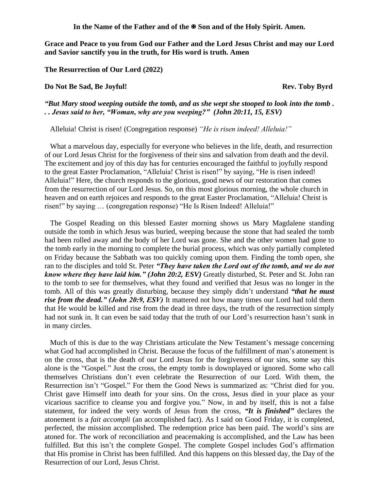In the Name of the Father and of the  $\mathbb{F}$  Son and of the Holy Spirit. Amen.

**Grace and Peace to you from God our Father and the Lord Jesus Christ and may our Lord and Savior sanctify you in the truth, for His word is truth. Amen**

**The Resurrection of Our Lord (2022)**

**Do Not Be Sad, Be Joyful!** And the same state of the same state of the same state of the same state of the same state of the same state of the same state of the same state of the same state of the same state of the same s

*"But Mary stood weeping outside the tomb, and as she wept she stooped to look into the tomb . . . Jesus said to her, "Woman, why are you weeping?" (John 20:11, 15, ESV)* 

Alleluia! Christ is risen! (Congregation response) *"He is risen indeed! Alleluia!"*

What a marvelous day, especially for everyone who believes in the life, death, and resurrection of our Lord Jesus Christ for the forgiveness of their sins and salvation from death and the devil. The excitement and joy of this day has for centuries encouraged the faithful to joyfully respond to the great Easter Proclamation, "Alleluia! Christ is risen!" by saying, "He is risen indeed! Alleluia!" Here, the church responds to the glorious, good news of our restoration that comes from the resurrection of our Lord Jesus. So, on this most glorious morning, the whole church in heaven and on earth rejoices and responds to the great Easter Proclamation, "Alleluia! Christ is risen!" by saying … (congregation response) "He Is Risen Indeed! Alleluia!"

The Gospel Reading on this blessed Easter morning shows us Mary Magdalene standing outside the tomb in which Jesus was buried, weeping because the stone that had sealed the tomb had been rolled away and the body of her Lord was gone. She and the other women had gone to the tomb early in the morning to complete the burial process, which was only partially completed on Friday because the Sabbath was too quickly coming upon them. Finding the tomb open, she ran to the disciples and told St. Peter *"They have taken the Lord out of the tomb, and we do not know where they have laid him." (John 20:2, ESV)* Greatly disturbed, St. Peter and St. John ran to the tomb to see for themselves, what they found and verified that Jesus was no longer in the tomb. All of this was greatly disturbing, because they simply didn't understand *"that he must rise from the dead." (John 20:9, ESV)* It mattered not how many times our Lord had told them that He would be killed and rise from the dead in three days, the truth of the resurrection simply had not sunk in. It can even be said today that the truth of our Lord's resurrection hasn't sunk in in many circles.

Much of this is due to the way Christians articulate the New Testament's message concerning what God had accomplished in Christ. Because the focus of the fulfillment of man's atonement is on the cross, that is the death of our Lord Jesus for the forgiveness of our sins, some say this alone is the "Gospel." Just the cross, the empty tomb is downplayed or ignored. Some who call themselves Christians don't even celebrate the Resurrection of our Lord. With them, the Resurrection isn't "Gospel." For them the Good News is summarized as: "Christ died for you. Christ gave Himself into death for your sins. On the cross, Jesus died in your place as your vicarious sacrifice to cleanse you and forgive you." Now, in and by itself, this is not a false statement, for indeed the very words of Jesus from the cross, *"It is finished"* declares the atonement is a *fait accompli* (an accomplished fact). As I said on Good Friday, it is completed, perfected, the mission accomplished. The redemption price has been paid. The world's sins are atoned for. The work of reconciliation and peacemaking is accomplished, and the Law has been fulfilled. But this isn't the complete Gospel. The complete Gospel includes God's affirmation that His promise in Christ has been fulfilled. And this happens on this blessed day, the Day of the Resurrection of our Lord, Jesus Christ.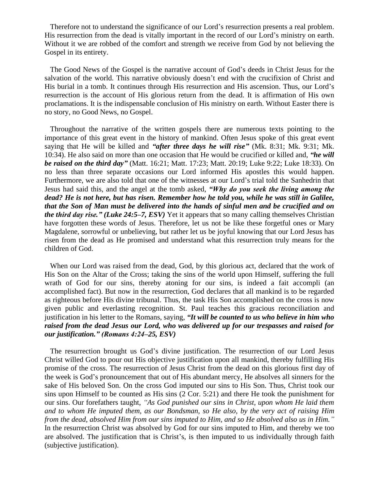Therefore not to understand the significance of our Lord's resurrection presents a real problem. His resurrection from the dead is vitally important in the record of our Lord's ministry on earth. Without it we are robbed of the comfort and strength we receive from God by not believing the Gospel in its entirety.

The Good News of the Gospel is the narrative account of God's deeds in Christ Jesus for the salvation of the world. This narrative obviously doesn't end with the crucifixion of Christ and His burial in a tomb. It continues through His resurrection and His ascension. Thus, our Lord's resurrection is the account of His glorious return from the dead. It is affirmation of His own proclamations. It is the indispensable conclusion of His ministry on earth. Without Easter there is no story, no Good News, no Gospel.

Throughout the narrative of the written gospels there are numerous texts pointing to the importance of this great event in the history of mankind. Often Jesus spoke of this great event saying that He will be killed and *"after three days he will rise"* (Mk. 8:31; Mk. 9:31; Mk. 10:34). He also said on more than one occasion that He would be crucified or killed and, *"he will be raised on the third day"* (Matt. 16:21; Matt. 17:23; Matt. 20:19; Luke 9:22; Luke 18:33). On no less than three separate occasions our Lord informed His apostles this would happen. Furthermore, we are also told that one of the witnesses at our Lord's trial told the Sanhedrin that Jesus had said this, and the angel at the tomb asked, *"Why do you seek the living among the dead? He is not here, but has risen. Remember how he told you, while he was still in Galilee, that the Son of Man must be delivered into the hands of sinful men and be crucified and on the third day rise." (Luke 24:5–7, ESV)* Yet it appears that so many calling themselves Christian have forgotten these words of Jesus. Therefore, let us not be like these forgetful ones or Mary Magdalene, sorrowful or unbelieving, but rather let us be joyful knowing that our Lord Jesus has risen from the dead as He promised and understand what this resurrection truly means for the children of God.

When our Lord was raised from the dead, God, by this glorious act, declared that the work of His Son on the Altar of the Cross; taking the sins of the world upon Himself, suffering the full wrath of God for our sins, thereby atoning for our sins, is indeed a fait accompli (an accomplished fact). But now in the resurrection, God declares that all mankind is to be regarded as righteous before His divine tribunal. Thus, the task His Son accomplished on the cross is now given public and everlasting recognition. St. Paul teaches this gracious reconciliation and justification in his letter to the Romans, saying, *"It will be counted to us who believe in him who raised from the dead Jesus our Lord, who was delivered up for our trespasses and raised for our justification." (Romans 4:24–25, ESV)*

The resurrection brought us God's divine justification. The resurrection of our Lord Jesus Christ willed God to pour out His objective justification upon all mankind, thereby fulfilling His promise of the cross. The resurrection of Jesus Christ from the dead on this glorious first day of the week is God's pronouncement that out of His abundant mercy, He absolves all sinners for the sake of His beloved Son. On the cross God imputed our sins to His Son. Thus, Christ took our sins upon Himself to be counted as His sins (2 Cor. 5:21) and there He took the punishment for our sins. Our forefathers taught, *"As God punished our sins in Christ, upon whom He laid them and to whom He imputed them, as our Bondsman, so He also, by the very act of raising Him from the dead, absolved Him from our sins imputed to Him, and so He absolved also us in Him."* In the resurrection Christ was absolved by God for our sins imputed to Him, and thereby we too are absolved. The justification that is Christ's, is then imputed to us individually through faith (subjective justification).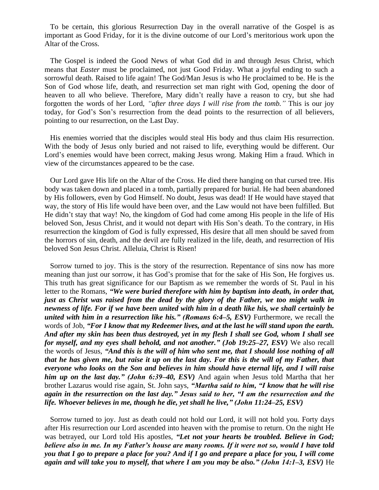To be certain, this glorious Resurrection Day in the overall narrative of the Gospel is as important as Good Friday, for it is the divine outcome of our Lord's meritorious work upon the Altar of the Cross.

The Gospel is indeed the Good News of what God did in and through Jesus Christ, which means that *Easter* must be proclaimed, not just Good Friday. What a joyful ending to such a sorrowful death. Raised to life again! The God/Man Jesus is who He proclaimed to be. He is the Son of God whose life, death, and resurrection set man right with God, opening the door of heaven to all who believe. Therefore, Mary didn't really have a reason to cry, but she had forgotten the words of her Lord, *"after three days I will rise from the tomb."* This is our joy today, for God's Son's resurrection from the dead points to the resurrection of all believers, pointing to our resurrection, on the Last Day.

His enemies worried that the disciples would steal His body and thus claim His resurrection. With the body of Jesus only buried and not raised to life, everything would be different. Our Lord's enemies would have been correct, making Jesus wrong. Making Him a fraud. Which in view of the circumstances appeared to be the case.

Our Lord gave His life on the Altar of the Cross. He died there hanging on that cursed tree. His body was taken down and placed in a tomb, partially prepared for burial. He had been abandoned by His followers, even by God Himself. No doubt, Jesus was dead! If He would have stayed that way, the story of His life would have been over, and the Law would not have been fulfilled. But He didn't stay that way! No, the kingdom of God had come among His people in the life of His beloved Son, Jesus Christ, and it would not depart with His Son's death. To the contrary, in His resurrection the kingdom of God is fully expressed, His desire that all men should be saved from the horrors of sin, death, and the devil are fully realized in the life, death, and resurrection of His beloved Son Jesus Christ. Alleluia, Christ is Risen!

Sorrow turned to joy. This is the story of the resurrection. Repentance of sins now has more meaning than just our sorrow, it has God's promise that for the sake of His Son, He forgives us. This truth has great significance for our Baptism as we remember the words of St. Paul in his letter to the Romans, *"We were buried therefore with him by baptism into death, in order that, just as Christ was raised from the dead by the glory of the Father, we too might walk in newness of life. For if we have been united with him in a death like his, we shall certainly be united with him in a resurrection like his.*" (*Romans 6:4–5, ESV*) Furthermore, we recall the words of Job, *"For I know that my Redeemer lives, and at the last he will stand upon the earth. And after my skin has been thus destroyed, yet in my flesh I shall see God, whom I shall see for myself, and my eyes shall behold, and not another." (Job 19:25–27, ESV)* We also recall the words of Jesus, *"And this is the will of him who sent me, that I should lose nothing of all that he has given me, but raise it up on the last day. For this is the will of my Father, that everyone who looks on the Son and believes in him should have eternal life, and I will raise him up on the last day." (John 6:39–40, ESV)* And again when Jesus told Martha that her brother Lazarus would rise again, St. John says, *"Martha said to him, "I know that he will rise again in the resurrection on the last day." Jesus said to her, "I am the resurrection and the life. Whoever believes in me, though he die, yet shall he live," (John 11:24–25, ESV)* 

Sorrow turned to joy. Just as death could not hold our Lord, it will not hold you. Forty days after His resurrection our Lord ascended into heaven with the promise to return. On the night He was betrayed, our Lord told His apostles, *"Let not your hearts be troubled. Believe in God; believe also in me. In my Father's house are many rooms. If it were not so, would I have told you that I go to prepare a place for you? And if I go and prepare a place for you, I will come again and will take you to myself, that where I am you may be also." (John 14:1–3, ESV)* He